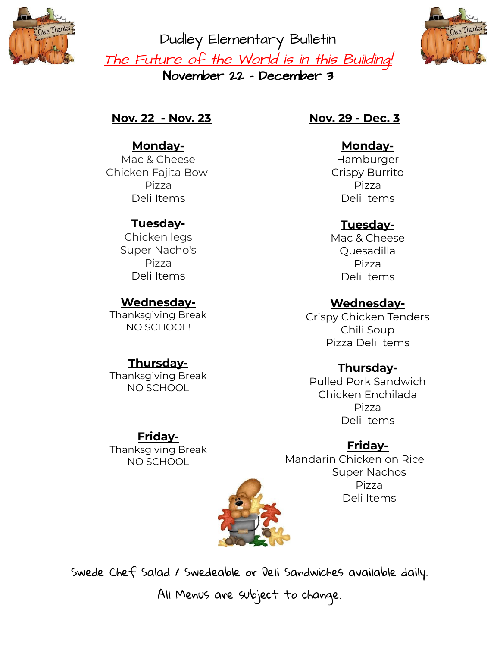

Dudley Elementary Bulletin The Future of the World is in this Building! November 22 - December 3



**Nov. 22 - Nov. 23**

**Monday-**Mac & Cheese Chicken Fajita Bowl Pizza Deli Items

#### **Tuesday-**

Chicken legs Super Nacho's Pizza Deli Items

## **Wednesday-**

Thanksgiving Break NO SCHOOL!

## **Thursday-**

Thanksgiving Break NO SCHOOL

**Friday-**Thanksgiving Break NO SCHOOL

#### **Nov. 29 - Dec. 3**

**Monday-**Hamburger Crispy Burrito Pizza Deli Items

# **Tuesday-**

Mac & Cheese Quesadilla Pizza Deli Items

## **Wednesday-**

Crispy Chicken Tenders Chili Soup Pizza Deli Items

# **Thursday-**

Pulled Pork Sandwich Chicken Enchilada Pizza Deli Items

## **Friday-**

Mandarin Chicken on Rice Super Nachos Pizza Deli Items



Swede Chef Salad / Swedeable or Deli Sandwiches available daily. All Menus are subject to change.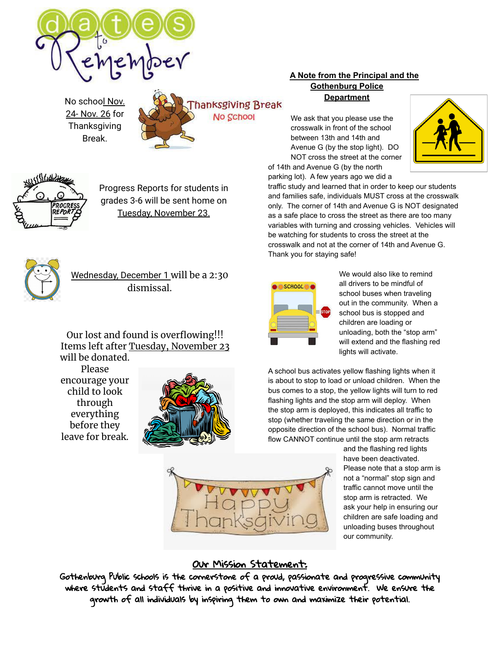

No school Nov. 24- Nov. 26 for **Thanksgiving** Break.





Progress Reports for students in grades 3-6 will be sent home on Tuesday, November 23.



Wednesday, December 1 will be a 2:30 dismissal.

Our lost and found is overflowing!!! Items left after Tuesday, November 23 will be donated.

Please encourage your child to look through everything before they leave for break.



#### **A Note from the Principal and the Gothenburg Police Department**

We ask that you please use the crosswalk in front of the school between 13th and 14th and Avenue G (by the stop light). DO NOT cross the street at the corner of 14th and Avenue G (by the north

parking lot). A few years ago we did a



traffic study and learned that in order to keep our students and families safe, individuals MUST cross at the crosswalk only. The corner of 14th and Avenue G is NOT designated as a safe place to cross the street as there are too many variables with turning and crossing vehicles. Vehicles will be watching for students to cross the street at the crosswalk and not at the corner of 14th and Avenue G. Thank you for staying safe!

|  | SCHOOL |  |    |
|--|--------|--|----|
|  |        |  | OP |
|  |        |  |    |

We would also like to remind all drivers to be mindful of school buses when traveling out in the community. When a school bus is stopped and children are loading or unloading, both the "stop arm" will extend and the flashing red lights will activate.

A school bus activates yellow flashing lights when it is about to stop to load or unload children. When the bus comes to a stop, the yellow lights will turn to red flashing lights and the stop arm will deploy. When the stop arm is deployed, this indicates all traffic to stop (whether traveling the same direction or in the opposite direction of the school bus). Normal traffic flow CANNOT continue until the stop arm retracts

> and the flashing red lights have been deactivated. Please note that a stop arm is not a "normal" stop sign and traffic cannot move until the stop arm is retracted. We ask your help in ensuring our children are safe loading and unloading buses throughout our community.



#### Our Mission Statement:

Gothenburg Public schools is the cornerstone of a proud, passionate and progressive community where students and staff thrive in a positive and innovative environment. We ensure the growth of all individuals by inspiring them to own and maximize their potential.